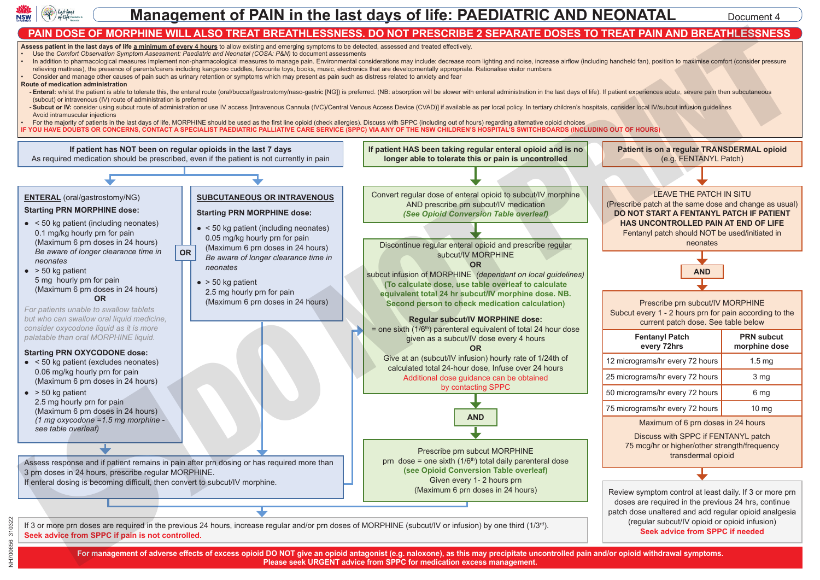

**Neonatal** 

## **Management of PAIN in the last days of life: PAEDIATRIC AND NEONATAL** Document 4 **Pacific Science & Bandwick Setting: PAIN II**

## PAIN DOSE OF MORPHINE WILL ALSO TREAT BREATHLESSNESS. DO NOT PRESCRIBE 2 SEPARATE DOSES TO TREAT PAIN AND BREATHLESSNESS (2) AND AND BREATHLESSNESS (2) PAIN AND BREATHLESSNESS (2) AND AND AND AND BREATHLESSNESS (2) AND AND